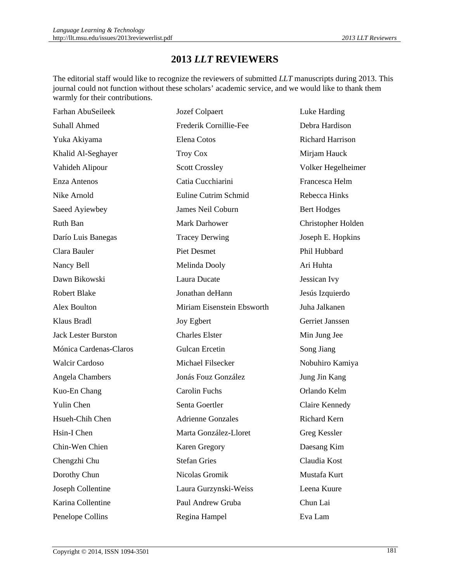## **2013** *LLT* **REVIEWERS**

The editorial staff would like to recognize the reviewers of submitted *LLT* manuscripts during 2013. This journal could not function without these scholars' academic service, and we would like to thank them warmly for their contributions.

| Farhan AbuSeileek          | Jozef Colpaert             | Luke Harding            |
|----------------------------|----------------------------|-------------------------|
| <b>Suhall Ahmed</b>        | Frederik Cornillie-Fee     | Debra Hardison          |
| Yuka Akiyama               | Elena Cotos                | <b>Richard Harrison</b> |
| Khalid Al-Seghayer         | <b>Troy Cox</b>            | Mirjam Hauck            |
| Vahideh Alipour            | <b>Scott Crossley</b>      | Volker Hegelheimer      |
| Enza Antenos               | Catia Cucchiarini          | Francesca Helm          |
| Nike Arnold                | Euline Cutrim Schmid       | Rebecca Hinks           |
| Saeed Ayiewbey             | James Neil Coburn          | <b>Bert Hodges</b>      |
| Ruth Ban                   | <b>Mark Darhower</b>       | Christopher Holden      |
| Darío Luis Banegas         | <b>Tracey Derwing</b>      | Joseph E. Hopkins       |
| Clara Bauler               | <b>Piet Desmet</b>         | Phil Hubbard            |
| Nancy Bell                 | Melinda Dooly              | Ari Huhta               |
| Dawn Bikowski              | Laura Ducate               | Jessican Ivy            |
| <b>Robert Blake</b>        | Jonathan deHann            | Jesús Izquierdo         |
| Alex Boulton               | Miriam Eisenstein Ebsworth | Juha Jalkanen           |
| Klaus Bradl                | Joy Egbert                 | Gerriet Janssen         |
| <b>Jack Lester Burston</b> | <b>Charles Elster</b>      | Min Jung Jee            |
| Mónica Cardenas-Claros     | Gulcan Ercetin             | Song Jiang              |
| <b>Walcir Cardoso</b>      | Michael Filsecker          | Nobuhiro Kamiya         |
| Angela Chambers            | Jonás Fouz González        | Jung Jin Kang           |
| Kuo-En Chang               | <b>Carolin Fuchs</b>       | Orlando Kelm            |
| <b>Yulin Chen</b>          | Senta Goertler             | Claire Kennedy          |
| Hsueh-Chih Chen            | <b>Adrienne Gonzales</b>   | <b>Richard Kern</b>     |
| Hsin-I Chen                | Marta González-Lloret      | Greg Kessler            |
| Chin-Wen Chien             | <b>Karen Gregory</b>       | Daesang Kim             |
| Chengzhi Chu               | <b>Stefan Gries</b>        | Claudia Kost            |
| Dorothy Chun               | Nicolas Gromik             | Mustafa Kurt            |
| Joseph Collentine          | Laura Gurzynski-Weiss      | Leena Kuure             |
| Karina Collentine          | Paul Andrew Gruba          | Chun Lai                |
| Penelope Collins           | Regina Hampel              | Eva Lam                 |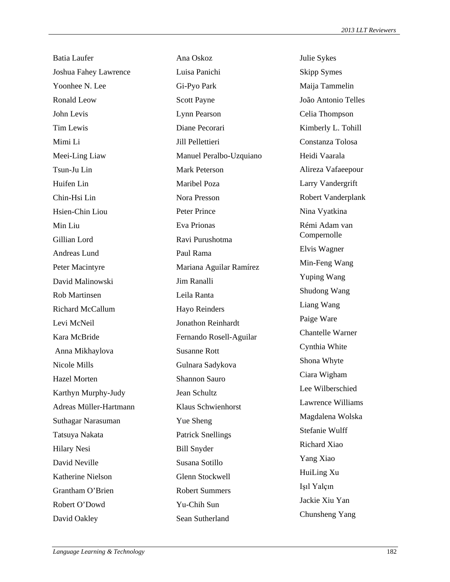| <b>Batia Laufer</b>     | Ana Oskoz                | Julie Sykes            |
|-------------------------|--------------------------|------------------------|
| Joshua Fahey Lawrence   | Luisa Panichi            | Skipp Syme             |
| Yoonhee N. Lee          | Gi-Pyo Park              | Maija Tamr             |
| Ronald Leow             | <b>Scott Payne</b>       | João Anton             |
| John Levis              | Lynn Pearson             | Celia Thom             |
| Tim Lewis               | Diane Pecorari           | Kimberly L             |
| Mimi Li                 | Jill Pellettieri         | Constanza <sup>7</sup> |
| Meei-Ling Liaw          | Manuel Peralbo-Uzquiano  | Heidi Vaara            |
| Tsun-Ju Lin             | <b>Mark Peterson</b>     | Alireza Vaf            |
| Huifen Lin              | Maribel Poza             | Larry Vand             |
| Chin-Hsi Lin            | Nora Presson             | Robert Van             |
| Hsien-Chin Liou         | Peter Prince             | Nina Vyatk             |
| Min Liu                 | Eva Prionas              | Rémi Adam              |
| Gillian Lord            | Ravi Purushotma          | Compernoll             |
| Andreas Lund            | Paul Rama                | Elvis Wagn             |
| Peter Macintyre         | Mariana Aguilar Ramírez  | Min-Feng V             |
| David Malinowski        | Jim Ranalli              | Yuping Wa              |
| Rob Martinsen           | Leila Ranta              | Shudong W              |
| <b>Richard McCallum</b> | Hayo Reinders            | Liang Wang             |
| Levi McNeil             | Jonathon Reinhardt       | Paige Ware             |
| Kara McBride            | Fernando Rosell-Aguilar  | Chantelle W            |
| Anna Mikhaylova         | <b>Susanne Rott</b>      | Cynthia Wh             |
| Nicole Mills            | Gulnara Sadykova         | Shona Why              |
| Hazel Morten            | <b>Shannon Sauro</b>     | Ciara Wigh             |
| Karthyn Murphy-Judy     | Jean Schultz             | Lee Wilbers            |
| Adreas Müller-Hartmann  | Klaus Schwienhorst       | Lawrence V             |
| Suthagar Narasuman      | Yue Sheng                | Magdalena              |
| Tatsuya Nakata          | <b>Patrick Snellings</b> | Stefanie Wu            |
| <b>Hilary Nesi</b>      | <b>Bill Snyder</b>       | Richard Xia            |
| David Neville           | Susana Sotillo           | Yang Xiao              |
| Katherine Nielson       | Glenn Stockwell          | HuiLing Xu             |
| Grantham O'Brien        | <b>Robert Summers</b>    | Işıl Yalçın            |
| Robert O'Dowd           | Yu-Chih Sun              | Jackie Xiu             |
| David Oakley            | Sean Sutherland          | Chunsheng              |

ymes 'ammelin tonio Telles nompson ly L. Tohill iza Tolosa aarala Vafaeepour andergrift Vanderplank atkina dam van nolle agner ng Wang Wang g Wang Vang  $\alpha$ <sub>are</sub> le Warner White Vhyte 'igham berschied ce Williams ena Wolska Wulff Xiao iao  ${\it Xu}$  $\sin$ Iiu Yan eng Yang